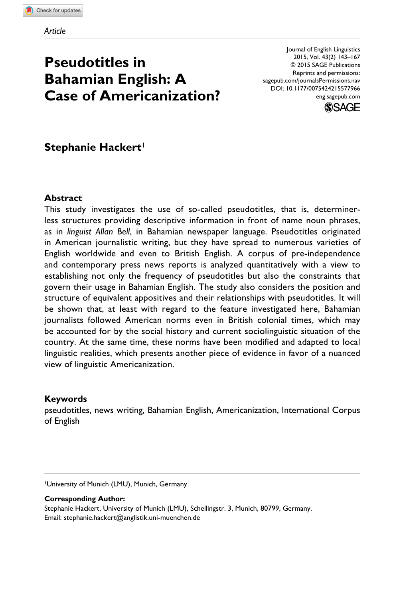# **Pseudotitles in Bahamian English: A Case of Americanization?**

Journal of English Linguistics 2015, Vol. 43(2) 143–167 © 2015 SAGE Publications Reprints and permissions: sagepub.com/journalsPermissions.nav DOI: 10.1177/0075424215577966 eng.sagepub.com



# **Stephanie Hackert1**

#### **Abstract**

This study investigates the use of so-called pseudotitles, that is, determinerless structures providing descriptive information in front of name noun phrases, as in *linguist Allan Bell*, in Bahamian newspaper language. Pseudotitles originated in American journalistic writing, but they have spread to numerous varieties of English worldwide and even to British English. A corpus of pre-independence and contemporary press news reports is analyzed quantitatively with a view to establishing not only the frequency of pseudotitles but also the constraints that govern their usage in Bahamian English. The study also considers the position and structure of equivalent appositives and their relationships with pseudotitles. It will be shown that, at least with regard to the feature investigated here, Bahamian journalists followed American norms even in British colonial times, which may be accounted for by the social history and current sociolinguistic situation of the country. At the same time, these norms have been modified and adapted to local linguistic realities, which presents another piece of evidence in favor of a nuanced view of linguistic Americanization.

#### **Keywords**

pseudotitles, news writing, Bahamian English, Americanization, International Corpus of English

1University of Munich (LMU), Munich, Germany

**Corresponding Author:** Stephanie Hackert, University of Munich (LMU), Schellingstr. 3, Munich, 80799, Germany. Email: [stephanie.hackert@anglistik.uni-muenchen.de](mailto:stephanie.hackert@anglistik.uni-muenchen.de)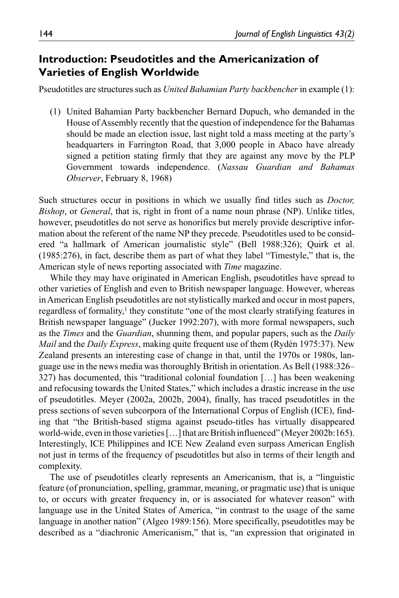# **Introduction: Pseudotitles and the Americanization of Varieties of English Worldwide**

Pseudotitles are structures such as *United Bahamian Party backbencher* in example (1):

(1) United Bahamian Party backbencher Bernard Dupuch, who demanded in the House of Assembly recently that the question of independence for the Bahamas should be made an election issue, last night told a mass meeting at the party's headquarters in Farrington Road, that 3,000 people in Abaco have already signed a petition stating firmly that they are against any move by the PLP Government towards independence. (*Nassau Guardian and Bahamas Observer*, February 8, 1968)

Such structures occur in positions in which we usually find titles such as *Doctor, Bishop*, or *General*, that is, right in front of a name noun phrase (NP). Unlike titles, however, pseudotitles do not serve as honorifics but merely provide descriptive information about the referent of the name NP they precede. Pseudotitles used to be considered "a hallmark of American journalistic style" (Bell 1988:326); Quirk et al. (1985:276), in fact, describe them as part of what they label "Timestyle," that is, the American style of news reporting associated with *Time* magazine.

While they may have originated in American English, pseudotitles have spread to other varieties of English and even to British newspaper language. However, whereas in American English pseudotitles are not stylistically marked and occur in most papers, regardless of formality,<sup>1</sup> they constitute "one of the most clearly stratifying features in British newspaper language" (Jucker 1992:207), with more formal newspapers, such as the *Times* and the *Guardian*, shunning them, and popular papers, such as the *Daily Mail* and the *Daily Express*, making quite frequent use of them (Rydén 1975:37). New Zealand presents an interesting case of change in that, until the 1970s or 1980s, language use in the news media was thoroughly British in orientation. As Bell (1988:326– 327) has documented, this "traditional colonial foundation […] has been weakening and refocusing towards the United States," which includes a drastic increase in the use of pseudotitles. Meyer (2002a, 2002b, 2004), finally, has traced pseudotitles in the press sections of seven subcorpora of the International Corpus of English (ICE), finding that "the British-based stigma against pseudo-titles has virtually disappeared world-wide, even in those varieties […] that are British influenced" (Meyer 2002b:165). Interestingly, ICE Philippines and ICE New Zealand even surpass American English not just in terms of the frequency of pseudotitles but also in terms of their length and complexity.

The use of pseudotitles clearly represents an Americanism, that is, a "linguistic feature (of pronunciation, spelling, grammar, meaning, or pragmatic use) that is unique to, or occurs with greater frequency in, or is associated for whatever reason" with language use in the United States of America, "in contrast to the usage of the same language in another nation" (Algeo 1989:156). More specifically, pseudotitles may be described as a "diachronic Americanism," that is, "an expression that originated in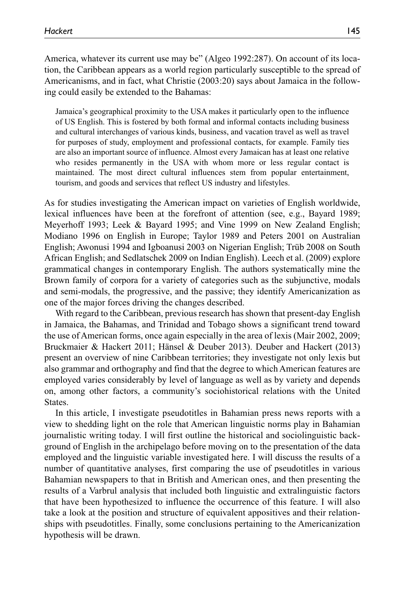America, whatever its current use may be" (Algeo 1992:287). On account of its location, the Caribbean appears as a world region particularly susceptible to the spread of Americanisms, and in fact, what Christie (2003:20) says about Jamaica in the following could easily be extended to the Bahamas:

Jamaica's geographical proximity to the USA makes it particularly open to the influence of US English. This is fostered by both formal and informal contacts including business and cultural interchanges of various kinds, business, and vacation travel as well as travel for purposes of study, employment and professional contacts, for example. Family ties are also an important source of influence. Almost every Jamaican has at least one relative who resides permanently in the USA with whom more or less regular contact is maintained. The most direct cultural influences stem from popular entertainment, tourism, and goods and services that reflect US industry and lifestyles.

As for studies investigating the American impact on varieties of English worldwide, lexical influences have been at the forefront of attention (see, e.g., Bayard 1989; Meyerhoff 1993; Leek & Bayard 1995; and Vine 1999 on New Zealand English; Modiano 1996 on English in Europe; Taylor 1989 and Peters 2001 on Australian English; Awonusi 1994 and Igboanusi 2003 on Nigerian English; Trüb 2008 on South African English; and Sedlatschek 2009 on Indian English). Leech et al. (2009) explore grammatical changes in contemporary English. The authors systematically mine the Brown family of corpora for a variety of categories such as the subjunctive, modals and semi-modals, the progressive, and the passive; they identify Americanization as one of the major forces driving the changes described.

With regard to the Caribbean, previous research has shown that present-day English in Jamaica, the Bahamas, and Trinidad and Tobago shows a significant trend toward the use of American forms, once again especially in the area of lexis (Mair 2002, 2009; Bruckmaier & Hackert 2011; Hänsel & Deuber 2013). Deuber and Hackert (2013) present an overview of nine Caribbean territories; they investigate not only lexis but also grammar and orthography and find that the degree to which American features are employed varies considerably by level of language as well as by variety and depends on, among other factors, a community's sociohistorical relations with the United States.

In this article, I investigate pseudotitles in Bahamian press news reports with a view to shedding light on the role that American linguistic norms play in Bahamian journalistic writing today. I will first outline the historical and sociolinguistic background of English in the archipelago before moving on to the presentation of the data employed and the linguistic variable investigated here. I will discuss the results of a number of quantitative analyses, first comparing the use of pseudotitles in various Bahamian newspapers to that in British and American ones, and then presenting the results of a Varbrul analysis that included both linguistic and extralinguistic factors that have been hypothesized to influence the occurrence of this feature. I will also take a look at the position and structure of equivalent appositives and their relationships with pseudotitles. Finally, some conclusions pertaining to the Americanization hypothesis will be drawn.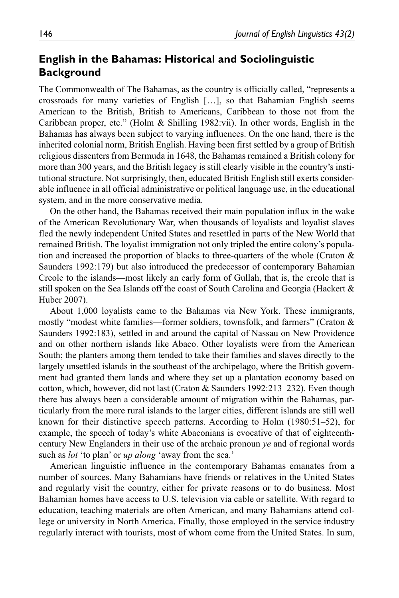# **English in the Bahamas: Historical and Sociolinguistic Background**

The Commonwealth of The Bahamas, as the country is officially called, "represents a crossroads for many varieties of English […], so that Bahamian English seems American to the British, British to Americans, Caribbean to those not from the Caribbean proper, etc." (Holm & Shilling 1982:vii). In other words, English in the Bahamas has always been subject to varying influences. On the one hand, there is the inherited colonial norm, British English. Having been first settled by a group of British religious dissenters from Bermuda in 1648, the Bahamas remained a British colony for more than 300 years, and the British legacy is still clearly visible in the country's institutional structure. Not surprisingly, then, educated British English still exerts considerable influence in all official administrative or political language use, in the educational system, and in the more conservative media.

On the other hand, the Bahamas received their main population influx in the wake of the American Revolutionary War, when thousands of loyalists and loyalist slaves fled the newly independent United States and resettled in parts of the New World that remained British. The loyalist immigration not only tripled the entire colony's population and increased the proportion of blacks to three-quarters of the whole (Craton  $\&$ Saunders 1992:179) but also introduced the predecessor of contemporary Bahamian Creole to the islands—most likely an early form of Gullah, that is, the creole that is still spoken on the Sea Islands off the coast of South Carolina and Georgia (Hackert  $\&$ Huber 2007).

About 1,000 loyalists came to the Bahamas via New York. These immigrants, mostly "modest white families—former soldiers, townsfolk, and farmers" (Craton & Saunders 1992:183), settled in and around the capital of Nassau on New Providence and on other northern islands like Abaco. Other loyalists were from the American South; the planters among them tended to take their families and slaves directly to the largely unsettled islands in the southeast of the archipelago, where the British government had granted them lands and where they set up a plantation economy based on cotton, which, however, did not last (Craton & Saunders 1992:213–232). Even though there has always been a considerable amount of migration within the Bahamas, particularly from the more rural islands to the larger cities, different islands are still well known for their distinctive speech patterns. According to Holm (1980:51–52), for example, the speech of today's white Abaconians is evocative of that of eighteenthcentury New Englanders in their use of the archaic pronoun *ye* and of regional words such as *lot* 'to plan' or *up along* 'away from the sea.'

American linguistic influence in the contemporary Bahamas emanates from a number of sources. Many Bahamians have friends or relatives in the United States and regularly visit the country, either for private reasons or to do business. Most Bahamian homes have access to U.S. television via cable or satellite. With regard to education, teaching materials are often American, and many Bahamians attend college or university in North America. Finally, those employed in the service industry regularly interact with tourists, most of whom come from the United States. In sum,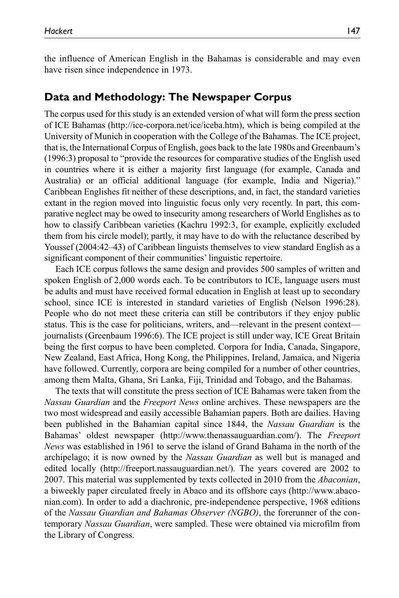the influence of American English in the Bahamas is considerable and may even have risen since independence in 1973.

## **Data and Methodology: The Newspaper Corpus**

The corpus used for this study is an extended version of what will form the press section of ICE Bahamas [\(http://ice-corpora.net/ice/iceba.htm\)](http://ice-corpora.net/ice/iceba.htm), which is being compiled at the University of Munich in cooperation with the College of the Bahamas. The ICE project, that is, the International Corpus of English, goes back to the late 1980s and Greenbaum's (1996:3) proposal to "provide the resources for comparative studies of the English used in countries where it is either a majority first language (for example, Canada and Australia) or an official additional language (for example, India and Nigeria)." Caribbean Englishes fit neither of these descriptions, and, in fact, the standard varieties extant in the region moved into linguistic focus only very recently. In part, this comparative neglect may be owed to insecurity among researchers of World Englishes as to how to classify Caribbean varieties (Kachru 1992:3, for example, explicitly excluded them from his circle model); partly, it may have to do with the reluctance described by Youssef (2004:42–43) of Caribbean linguists themselves to view standard English as a significant component of their communities' linguistic repertoire.

Each ICE corpus follows the same design and provides 500 samples of written and spoken English of 2,000 words each. To be contributors to ICE, language users must be adults and must have received formal education in English at least up to secondary school, since ICE is interested in standard varieties of English (Nelson 1996:28). People who do not meet these criteria can still be contributors if they enjoy public status. This is the case for politicians, writers, and—relevant in the present context journalists (Greenbaum 1996:6). The ICE project is still under way, ICE Great Britain being the first corpus to have been completed. Corpora for India, Canada, Singapore, New Zealand, East Africa, Hong Kong, the Philippines, Ireland, Jamaica, and Nigeria have followed. Currently, corpora are being compiled for a number of other countries, among them Malta, Ghana, Sri Lanka, Fiji, Trinidad and Tobago, and the Bahamas.

The texts that will constitute the press section of ICE Bahamas were taken from the *Nassau Guardian* and the *Freeport News* online archives. These newspapers are the two most widespread and easily accessible Bahamian papers. Both are dailies. Having been published in the Bahamian capital since 1844, the *Nassau Guardian* is the Bahamas' oldest newspaper ([http://www.thenassauguardian.com/\)](http://www.thenassauguardian.com/). The *Freeport News* was established in 1961 to serve the island of Grand Bahama in the north of the archipelago; it is now owned by the *Nassau Guardian* as well but is managed and edited locally (<http://freeport.nassauguardian.net/>). The years covered are 2002 to 2007. This material was supplemented by texts collected in 2010 from the *Abaconian*, a biweekly paper circulated freely in Abaco and its offshore cays ([http://www.abaco](http://www.abaconian.com)[nian.com\)](http://www.abaconian.com). In order to add a diachronic, pre-independence perspective, 1968 editions of the *Nassau Guardian and Bahamas Observer (NGBO)*, the forerunner of the contemporary *Nassau Guardian*, were sampled. These were obtained via microfilm from the Library of Congress.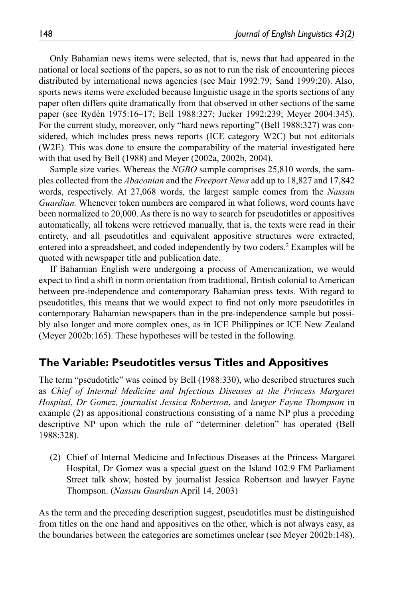Only Bahamian news items were selected, that is, news that had appeared in the national or local sections of the papers, so as not to run the risk of encountering pieces distributed by international news agencies (see Mair 1992:79; Sand 1999:20). Also, sports news items were excluded because linguistic usage in the sports sections of any paper often differs quite dramatically from that observed in other sections of the same paper (see Rydén 1975:16–17; Bell 1988:327; Jucker 1992:239; Meyer 2004:345). For the current study, moreover, only "hard news reporting" (Bell 1988:327) was considered, which includes press news reports (ICE category W2C) but not editorials (W2E). This was done to ensure the comparability of the material investigated here with that used by Bell (1988) and Meyer (2002a, 2002b, 2004).

Sample size varies. Whereas the *NGBO* sample comprises 25,810 words, the samples collected from the *Abaconian* and the *Freeport News* add up to 18,827 and 17,842 words, respectively. At 27,068 words, the largest sample comes from the *Nassau Guardian.* Whenever token numbers are compared in what follows, word counts have been normalized to 20,000. As there is no way to search for pseudotitles or appositives automatically, all tokens were retrieved manually, that is, the texts were read in their entirety, and all pseudotitles and equivalent appositive structures were extracted, entered into a spreadsheet, and coded independently by two coders.2 Examples will be quoted with newspaper title and publication date.

If Bahamian English were undergoing a process of Americanization, we would expect to find a shift in norm orientation from traditional, British colonial to American between pre-independence and contemporary Bahamian press texts. With regard to pseudotitles, this means that we would expect to find not only more pseudotitles in contemporary Bahamian newspapers than in the pre-independence sample but possibly also longer and more complex ones, as in ICE Philippines or ICE New Zealand (Meyer 2002b:165). These hypotheses will be tested in the following.

### **The Variable: Pseudotitles versus Titles and Appositives**

The term "pseudotitle" was coined by Bell (1988:330), who described structures such as *Chief of Internal Medicine and Infectious Diseases at the Princess Margaret Hospital, Dr Gomez, journalist Jessica Robertson*, and *lawyer Fayne Thompson* in example (2) as appositional constructions consisting of a name NP plus a preceding descriptive NP upon which the rule of "determiner deletion" has operated (Bell 1988:328).

(2) Chief of Internal Medicine and Infectious Diseases at the Princess Margaret Hospital, Dr Gomez was a special guest on the Island 102.9 FM Parliament Street talk show, hosted by journalist Jessica Robertson and lawyer Fayne Thompson. (*Nassau Guardian* April 14, 2003)

As the term and the preceding description suggest, pseudotitles must be distinguished from titles on the one hand and appositives on the other, which is not always easy, as the boundaries between the categories are sometimes unclear (see Meyer 2002b:148).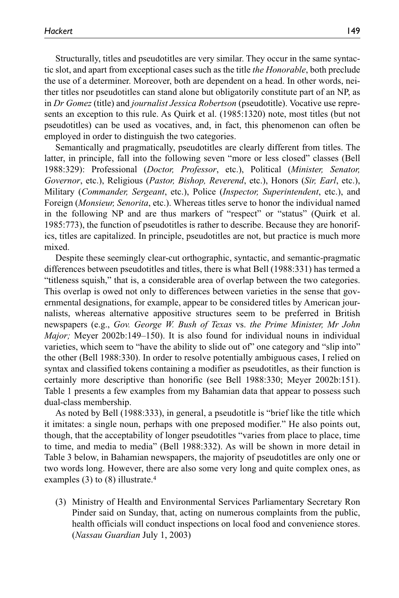Structurally, titles and pseudotitles are very similar. They occur in the same syntactic slot, and apart from exceptional cases such as the title *the Honorable*, both preclude the use of a determiner. Moreover, both are dependent on a head. In other words, neither titles nor pseudotitles can stand alone but obligatorily constitute part of an NP, as in *Dr Gomez* (title) and *journalist Jessica Robertson* (pseudotitle). Vocative use represents an exception to this rule. As Quirk et al. (1985:1320) note, most titles (but not pseudotitles) can be used as vocatives, and, in fact, this phenomenon can often be employed in order to distinguish the two categories.

Semantically and pragmatically, pseudotitles are clearly different from titles. The latter, in principle, fall into the following seven "more or less closed" classes (Bell 1988:329): Professional (*Doctor, Professor*, etc.), Political (*Minister, Senator, Governor*, etc.), Religious (*Pastor, Bishop, Reverend*, etc.), Honors (*Sir, Earl*, etc.), Military (*Commander, Sergeant*, etc.), Police (*Inspector, Superintendent*, etc.), and Foreign (*Monsieur, Senorita*, etc.). Whereas titles serve to honor the individual named in the following NP and are thus markers of "respect" or "status" (Quirk et al. 1985:773), the function of pseudotitles is rather to describe. Because they are honorifics, titles are capitalized. In principle, pseudotitles are not, but practice is much more mixed.

Despite these seemingly clear-cut orthographic, syntactic, and semantic-pragmatic differences between pseudotitles and titles, there is what Bell (1988:331) has termed a "titleness squish," that is, a considerable area of overlap between the two categories. This overlap is owed not only to differences between varieties in the sense that governmental designations, for example, appear to be considered titles by American journalists, whereas alternative appositive structures seem to be preferred in British newspapers (e.g., *Gov. George W. Bush of Texas* vs. *the Prime Minister, Mr John Major;* Meyer 2002b:149–150). It is also found for individual nouns in individual varieties, which seem to "have the ability to slide out of" one category and "slip into" the other (Bell 1988:330). In order to resolve potentially ambiguous cases, I relied on syntax and classified tokens containing a modifier as pseudotitles, as their function is certainly more descriptive than honorific (see Bell 1988:330; Meyer 2002b:151). Table 1 presents a few examples from my Bahamian data that appear to possess such dual-class membership.

As noted by Bell (1988:333), in general, a pseudotitle is "brief like the title which it imitates: a single noun, perhaps with one preposed modifier." He also points out, though, that the acceptability of longer pseudotitles "varies from place to place, time to time, and media to media" (Bell 1988:332). As will be shown in more detail in Table 3 below, in Bahamian newspapers, the majority of pseudotitles are only one or two words long. However, there are also some very long and quite complex ones, as examples (3) to (8) illustrate.<sup>4</sup>

(3) Ministry of Health and Environmental Services Parliamentary Secretary Ron Pinder said on Sunday, that, acting on numerous complaints from the public, health officials will conduct inspections on local food and convenience stores. (*Nassau Guardian* July 1, 2003)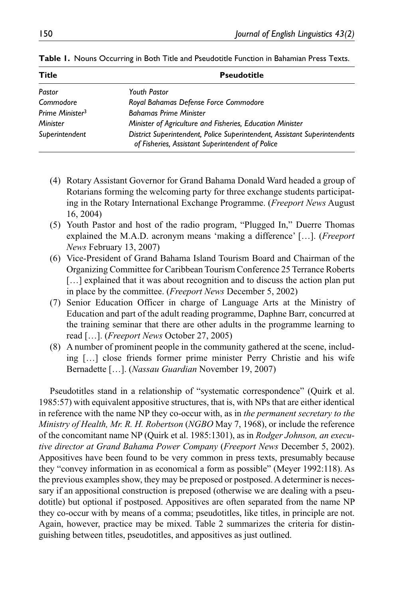| <b>Title</b>                | <b>Pseudotitle</b>                                                                                                            |  |  |  |  |
|-----------------------------|-------------------------------------------------------------------------------------------------------------------------------|--|--|--|--|
| Pastor                      | <b>Youth Pastor</b>                                                                                                           |  |  |  |  |
| Commodore                   | Royal Bahamas Defense Force Commodore                                                                                         |  |  |  |  |
| Prime Minister <sup>3</sup> | <b>Bahamas Prime Minister</b>                                                                                                 |  |  |  |  |
| Minister                    | Minister of Agriculture and Fisheries, Education Minister                                                                     |  |  |  |  |
| Superintendent              | District Superintendent, Police Superintendent, Assistant Superintendents<br>of Fisheries, Assistant Superintendent of Police |  |  |  |  |

**Table 1.** Nouns Occurring in Both Title and Pseudotitle Function in Bahamian Press Texts.

- (4) Rotary Assistant Governor for Grand Bahama Donald Ward headed a group of Rotarians forming the welcoming party for three exchange students participating in the Rotary International Exchange Programme. (*Freeport News* August 16, 2004)
- (5) Youth Pastor and host of the radio program, "Plugged In," Duerre Thomas explained the M.A.D. acronym means 'making a difference' […]. (*Freeport News* February 13, 2007)
- (6) Vice-President of Grand Bahama Island Tourism Board and Chairman of the Organizing Committee for Caribbean Tourism Conference 25 Terrance Roberts [...] explained that it was about recognition and to discuss the action plan put in place by the committee. (*Freeport News* December 5, 2002)
- (7) Senior Education Officer in charge of Language Arts at the Ministry of Education and part of the adult reading programme, Daphne Barr, concurred at the training seminar that there are other adults in the programme learning to read […]. (*Freeport News* October 27, 2005)
- (8) A number of prominent people in the community gathered at the scene, including […] close friends former prime minister Perry Christie and his wife Bernadette […]. (*Nassau Guardian* November 19, 2007)

Pseudotitles stand in a relationship of "systematic correspondence" (Quirk et al. 1985:57) with equivalent appositive structures, that is, with NPs that are either identical in reference with the name NP they co-occur with, as in *the permanent secretary to the Ministry of Health, Mr. R. H. Robertson* (*NGBO* May 7, 1968), or include the reference of the concomitant name NP (Quirk et al. 1985:1301), as in *Rodger Johnson, an executive director at Grand Bahama Power Company* (*Freeport News* December 5, 2002). Appositives have been found to be very common in press texts, presumably because they "convey information in as economical a form as possible" (Meyer 1992:118). As the previous examples show, they may be preposed or postposed. A determiner is necessary if an appositional construction is preposed (otherwise we are dealing with a pseudotitle) but optional if postposed. Appositives are often separated from the name NP they co-occur with by means of a comma; pseudotitles, like titles, in principle are not. Again, however, practice may be mixed. Table 2 summarizes the criteria for distinguishing between titles, pseudotitles, and appositives as just outlined.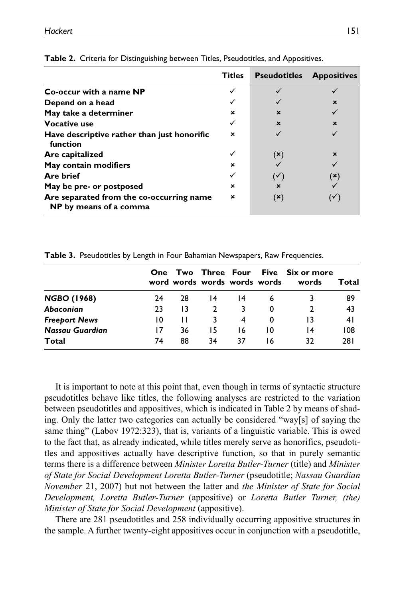|                                                                    | <b>Titles</b> | <b>Pseudotitles</b>       | <b>Appositives</b> |
|--------------------------------------------------------------------|---------------|---------------------------|--------------------|
| Co-occur with a name NP                                            |               |                           |                    |
| Depend on a head                                                   |               |                           | $\mathbf x$        |
| May take a determiner                                              | ×             | $\boldsymbol{\mathsf{x}}$ |                    |
| <b>Vocative use</b>                                                |               | $\mathbf x$               | $\mathbf x$        |
| Have descriptive rather than just honorific<br>function            | ×             |                           |                    |
| Are capitalized                                                    |               | (X)                       | $\mathbf x$        |
| May contain modifiers                                              | ×             |                           |                    |
| <b>Are brief</b>                                                   |               | $\mathbf{v}$              | (×)                |
| May be pre- or postposed                                           | ×             | ×                         |                    |
| Are separated from the co-occurring name<br>NP by means of a comma | ×             | (×)                       |                    |

**Table 2.** Criteria for Distinguishing between Titles, Pseudotitles, and Appositives.

**Table 3.** Pseudotitles by Length in Four Bahamian Newspapers, Raw Frequencies.

|                      | <b>One</b> |    | word words words words words |    |    | Two Three Four Five Six or more<br>words | Total |
|----------------------|------------|----|------------------------------|----|----|------------------------------------------|-------|
| <b>NGBO (1968)</b>   | 24         | 28 | 14                           | 14 | 6  |                                          | 89    |
| Abaconian            | 23         | 13 | $\overline{2}$               |    | 0  |                                          | 43    |
| <b>Freeport News</b> | 10         |    |                              | 4  | 0  |                                          | 41    |
| Nassau Guardian      | 17         | 36 | 15                           | 16 | 10 | 14                                       | 108   |
| Total                | 74         | 88 | 34                           | 37 | 16 | 32                                       | 281   |

It is important to note at this point that, even though in terms of syntactic structure pseudotitles behave like titles, the following analyses are restricted to the variation between pseudotitles and appositives, which is indicated in Table 2 by means of shading. Only the latter two categories can actually be considered "way[s] of saying the same thing" (Labov 1972:323), that is, variants of a linguistic variable. This is owed to the fact that, as already indicated, while titles merely serve as honorifics, pseudotitles and appositives actually have descriptive function, so that in purely semantic terms there is a difference between *Minister Loretta Butler-Turner* (title) and *Minister of State for Social Development Loretta Butler-Turner* (pseudotitle; *Nassau Guardian November* 21, 2007) but not between the latter and *the Minister of State for Social Development, Loretta Butler-Turner* (appositive) or *Loretta Butler Turner, (the) Minister of State for Social Development* (appositive).

There are 281 pseudotitles and 258 individually occurring appositive structures in the sample. A further twenty-eight appositives occur in conjunction with a pseudotitle,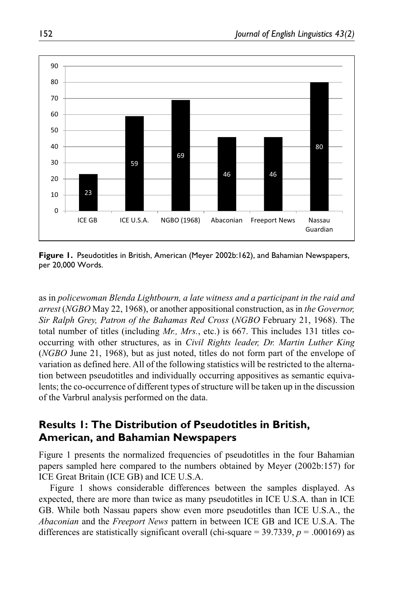

**Figure 1.** Pseudotitles in British, American (Meyer 2002b:162), and Bahamian Newspapers, per 20,000 Words.

as in *policewoman Blenda Lightbourn, a late witness and a participant in the raid and arrest* (*NGBO* May 22, 1968), or another appositional construction, as in *the Governor, Sir Ralph Grey, Patron of the Bahamas Red Cross* (*NGBO* February 21, 1968). The total number of titles (including *Mr., Mrs.*, etc.) is 667. This includes 131 titles cooccurring with other structures, as in *Civil Rights leader, Dr. Martin Luther King* (*NGBO* June 21, 1968), but as just noted, titles do not form part of the envelope of variation as defined here. All of the following statistics will be restricted to the alternation between pseudotitles and individually occurring appositives as semantic equivalents; the co-occurrence of different types of structure will be taken up in the discussion of the Varbrul analysis performed on the data.

# **Results 1: The Distribution of Pseudotitles in British, American, and Bahamian Newspapers**

Figure 1 presents the normalized frequencies of pseudotitles in the four Bahamian papers sampled here compared to the numbers obtained by Meyer (2002b:157) for ICE Great Britain (ICE GB) and ICE U.S.A.

Figure 1 shows considerable differences between the samples displayed. As expected, there are more than twice as many pseudotitles in ICE U.S.A. than in ICE GB. While both Nassau papers show even more pseudotitles than ICE U.S.A., the *Abaconian* and the *Freeport News* pattern in between ICE GB and ICE U.S.A. The differences are statistically significant overall (chi-square  $=$  39.7339,  $p = .000169$ ) as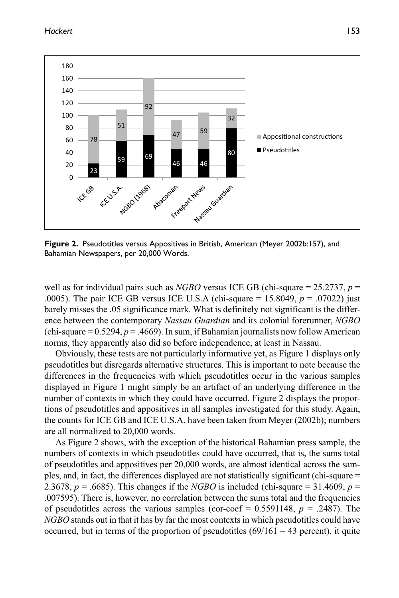

**Figure 2.** Pseudotitles versus Appositives in British, American (Meyer 2002b:157), and Bahamian Newspapers, per 20,000 Words.

well as for individual pairs such as *NGBO* versus ICE GB (chi-square = 25.2737, *p* = .0005). The pair ICE GB versus ICE U.S.A (chi-square = 15.8049, *p* = .07022) just barely misses the .05 significance mark. What is definitely not significant is the difference between the contemporary *Nassau Guardian* and its colonial forerunner, *NGBO* (chi-square  $= 0.5294, p = .4669$ ). In sum, if Bahamian journalists now follow American norms, they apparently also did so before independence, at least in Nassau.

Obviously, these tests are not particularly informative yet, as Figure 1 displays only pseudotitles but disregards alternative structures. This is important to note because the differences in the frequencies with which pseudotitles occur in the various samples displayed in Figure 1 might simply be an artifact of an underlying difference in the number of contexts in which they could have occurred. Figure 2 displays the proportions of pseudotitles and appositives in all samples investigated for this study. Again, the counts for ICE GB and ICE U.S.A. have been taken from Meyer (2002b); numbers are all normalized to 20,000 words.

As Figure 2 shows, with the exception of the historical Bahamian press sample, the numbers of contexts in which pseudotitles could have occurred, that is, the sums total of pseudotitles and appositives per 20,000 words, are almost identical across the samples, and, in fact, the differences displayed are not statistically significant (chi-square = 2.3678,  $p = .6685$ ). This changes if the *NGBO* is included (chi-square = 31.4609,  $p =$ .007595). There is, however, no correlation between the sums total and the frequencies of pseudotitles across the various samples (cor-coef =  $0.5591148$ ,  $p = .2487$ ). The *NGBO* stands out in that it has by far the most contexts in which pseudotitles could have occurred, but in terms of the proportion of pseudotitles  $(69/161 = 43$  percent), it quite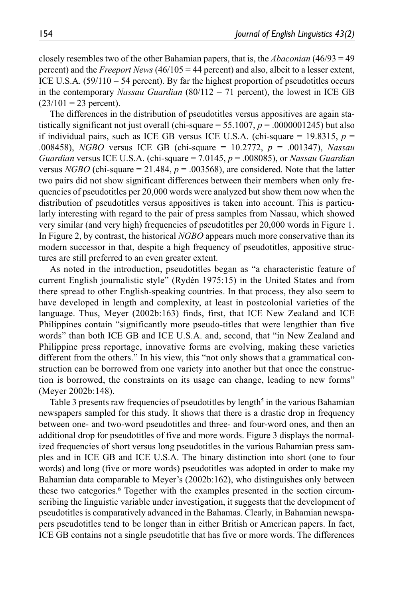closely resembles two of the other Bahamian papers, that is, the *Abaconian* (46/93 = 49 percent) and the *Freeport News* (46/105 = 44 percent) and also, albeit to a lesser extent, ICE U.S.A.  $(59/110 = 54$  percent). By far the highest proportion of pseudotitles occurs in the contemporary *Nassau Guardian* (80/112 = 71 percent), the lowest in ICE GB  $(23/101 = 23$  percent).

The differences in the distribution of pseudotitles versus appositives are again statistically significant not just overall (chi-square  $= 55.1007$ ,  $p = .0000001245$ ) but also if individual pairs, such as ICE GB versus ICE U.S.A. (chi-square  $= 19.8315$ ,  $p =$ .008458), *NGBO* versus ICE GB (chi-square = 10.2772, *p* = .001347), *Nassau Guardian* versus ICE U.S.A. (chi-square = 7.0145, *p* = .008085), or *Nassau Guardian* versus *NGBO* (chi-square = 21.484,  $p = .003568$ ), are considered. Note that the latter two pairs did not show significant differences between their members when only frequencies of pseudotitles per 20,000 words were analyzed but show them now when the distribution of pseudotitles versus appositives is taken into account. This is particularly interesting with regard to the pair of press samples from Nassau, which showed very similar (and very high) frequencies of pseudotitles per 20,000 words in Figure 1. In Figure 2, by contrast, the historical *NGBO* appears much more conservative than its modern successor in that, despite a high frequency of pseudotitles, appositive structures are still preferred to an even greater extent.

As noted in the introduction, pseudotitles began as "a characteristic feature of current English journalistic style" (Rydén 1975:15) in the United States and from there spread to other English-speaking countries. In that process, they also seem to have developed in length and complexity, at least in postcolonial varieties of the language. Thus, Meyer (2002b:163) finds, first, that ICE New Zealand and ICE Philippines contain "significantly more pseudo-titles that were lengthier than five words" than both ICE GB and ICE U.S.A. and, second, that "in New Zealand and Philippine press reportage, innovative forms are evolving, making these varieties different from the others." In his view, this "not only shows that a grammatical construction can be borrowed from one variety into another but that once the construction is borrowed, the constraints on its usage can change, leading to new forms" (Meyer 2002b:148).

Table 3 presents raw frequencies of pseudotitles by length<sup>5</sup> in the various Bahamian newspapers sampled for this study. It shows that there is a drastic drop in frequency between one- and two-word pseudotitles and three- and four-word ones, and then an additional drop for pseudotitles of five and more words. Figure 3 displays the normalized frequencies of short versus long pseudotitles in the various Bahamian press samples and in ICE GB and ICE U.S.A. The binary distinction into short (one to four words) and long (five or more words) pseudotitles was adopted in order to make my Bahamian data comparable to Meyer's (2002b:162), who distinguishes only between these two categories.6 Together with the examples presented in the section circumscribing the linguistic variable under investigation, it suggests that the development of pseudotitles is comparatively advanced in the Bahamas. Clearly, in Bahamian newspapers pseudotitles tend to be longer than in either British or American papers. In fact, ICE GB contains not a single pseudotitle that has five or more words. The differences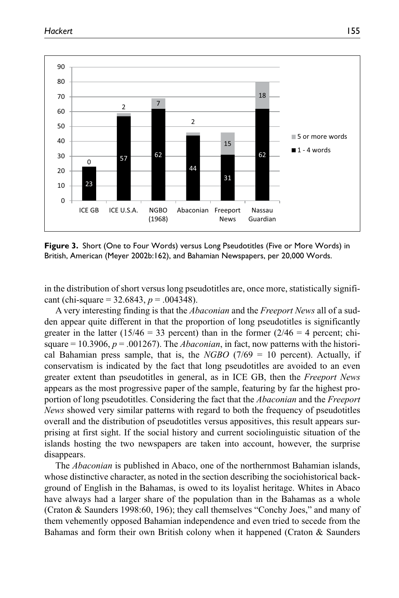

**Figure 3.** Short (One to Four Words) versus Long Pseudotitles (Five or More Words) in British, American (Meyer 2002b:162), and Bahamian Newspapers, per 20,000 Words.

in the distribution of short versus long pseudotitles are, once more, statistically significant (chi-square =  $32.6843$ ,  $p = .004348$ ).

A very interesting finding is that the *Abaconian* and the *Freeport News* all of a sudden appear quite different in that the proportion of long pseudotitles is significantly greater in the latter ( $15/46 = 33$  percent) than in the former ( $2/46 = 4$  percent; chisquare  $= 10.3906$ ,  $p = .001267$ . The *Abaconian*, in fact, now patterns with the historical Bahamian press sample, that is, the *NGBO*  $(7/69 = 10)$  percent). Actually, if conservatism is indicated by the fact that long pseudotitles are avoided to an even greater extent than pseudotitles in general, as in ICE GB, then the *Freeport News* appears as the most progressive paper of the sample, featuring by far the highest proportion of long pseudotitles. Considering the fact that the *Abaconian* and the *Freeport News* showed very similar patterns with regard to both the frequency of pseudotitles overall and the distribution of pseudotitles versus appositives, this result appears surprising at first sight. If the social history and current sociolinguistic situation of the islands hosting the two newspapers are taken into account, however, the surprise disappears.

The *Abaconian* is published in Abaco, one of the northernmost Bahamian islands, whose distinctive character, as noted in the section describing the sociohistorical background of English in the Bahamas, is owed to its loyalist heritage. Whites in Abaco have always had a larger share of the population than in the Bahamas as a whole (Craton & Saunders 1998:60, 196); they call themselves "Conchy Joes," and many of them vehemently opposed Bahamian independence and even tried to secede from the Bahamas and form their own British colony when it happened (Craton & Saunders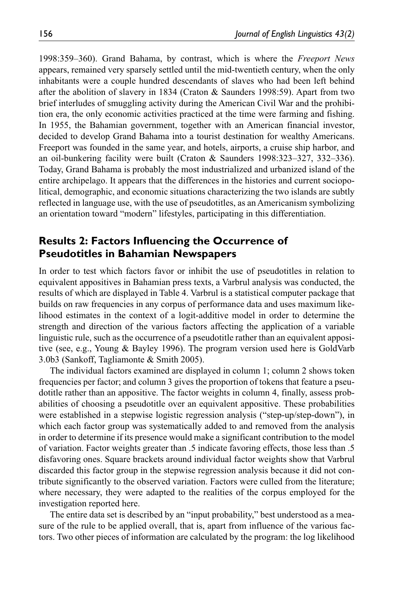1998:359–360). Grand Bahama, by contrast, which is where the *Freeport News* appears, remained very sparsely settled until the mid-twentieth century, when the only inhabitants were a couple hundred descendants of slaves who had been left behind after the abolition of slavery in 1834 (Craton & Saunders 1998:59). Apart from two brief interludes of smuggling activity during the American Civil War and the prohibition era, the only economic activities practiced at the time were farming and fishing. In 1955, the Bahamian government, together with an American financial investor, decided to develop Grand Bahama into a tourist destination for wealthy Americans. Freeport was founded in the same year, and hotels, airports, a cruise ship harbor, and an oil-bunkering facility were built (Craton & Saunders 1998:323–327, 332–336). Today, Grand Bahama is probably the most industrialized and urbanized island of the entire archipelago. It appears that the differences in the histories and current sociopolitical, demographic, and economic situations characterizing the two islands are subtly reflected in language use, with the use of pseudotitles, as an Americanism symbolizing an orientation toward "modern" lifestyles, participating in this differentiation.

## **Results 2: Factors Influencing the Occurrence of Pseudotitles in Bahamian Newspapers**

In order to test which factors favor or inhibit the use of pseudotitles in relation to equivalent appositives in Bahamian press texts, a Varbrul analysis was conducted, the results of which are displayed in Table 4. Varbrul is a statistical computer package that builds on raw frequencies in any corpus of performance data and uses maximum likelihood estimates in the context of a logit-additive model in order to determine the strength and direction of the various factors affecting the application of a variable linguistic rule, such as the occurrence of a pseudotitle rather than an equivalent appositive (see, e.g., Young & Bayley 1996). The program version used here is GoldVarb 3.0b3 (Sankoff, Tagliamonte & Smith 2005).

The individual factors examined are displayed in column 1; column 2 shows token frequencies per factor; and column 3 gives the proportion of tokens that feature a pseudotitle rather than an appositive. The factor weights in column 4, finally, assess probabilities of choosing a pseudotitle over an equivalent appositive. These probabilities were established in a stepwise logistic regression analysis ("step-up/step-down"), in which each factor group was systematically added to and removed from the analysis in order to determine if its presence would make a significant contribution to the model of variation. Factor weights greater than .5 indicate favoring effects, those less than .5 disfavoring ones. Square brackets around individual factor weights show that Varbrul discarded this factor group in the stepwise regression analysis because it did not contribute significantly to the observed variation. Factors were culled from the literature; where necessary, they were adapted to the realities of the corpus employed for the investigation reported here.

The entire data set is described by an "input probability," best understood as a measure of the rule to be applied overall, that is, apart from influence of the various factors. Two other pieces of information are calculated by the program: the log likelihood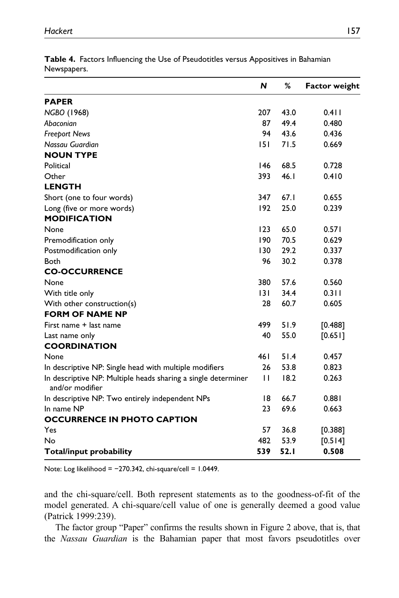|                                                                                  | N   | %    | <b>Factor weight</b> |
|----------------------------------------------------------------------------------|-----|------|----------------------|
| <b>PAPER</b>                                                                     |     |      |                      |
| NGBO (1968)                                                                      | 207 | 43.0 | 0.411                |
| Abaconian                                                                        | 87  | 49.4 | 0.480                |
| <b>Freeport News</b>                                                             | 94  | 43.6 | 0.436                |
| Nassau Guardian                                                                  | 151 | 71.5 | 0.669                |
| <b>NOUN TYPE</b>                                                                 |     |      |                      |
| Political                                                                        | 146 | 68.5 | 0.728                |
| Other                                                                            | 393 | 46.1 | 0.410                |
| <b>LENGTH</b>                                                                    |     |      |                      |
| Short (one to four words)                                                        | 347 | 67.1 | 0.655                |
| Long (five or more words)                                                        | 192 | 25.0 | 0.239                |
| <b>MODIFICATION</b>                                                              |     |      |                      |
| None                                                                             | 123 | 65.0 | 0.571                |
| Premodification only                                                             | 190 | 70.5 | 0.629                |
| Postmodification only                                                            | 130 | 29.2 | 0.337                |
| <b>Both</b>                                                                      | 96  | 30.2 | 0.378                |
| <b>CO-OCCURRENCE</b>                                                             |     |      |                      |
| None                                                                             | 380 | 57.6 | 0.560                |
| With title only                                                                  | 3   | 34.4 | 0.311                |
| With other construction(s)                                                       | 28  | 60.7 | 0.605                |
| <b>FORM OF NAME NP</b>                                                           |     |      |                      |
| First name + last name                                                           | 499 | 51.9 | [0.488]              |
| Last name only                                                                   | 40  | 55.0 | [0.65]               |
| <b>COORDINATION</b>                                                              |     |      |                      |
| None                                                                             | 461 | 51.4 | 0.457                |
| In descriptive NP: Single head with multiple modifiers                           | 26  | 53.8 | 0.823                |
| In descriptive NP: Multiple heads sharing a single determiner<br>and/or modifier | П   | 18.2 | 0.263                |
| In descriptive NP: Two entirely independent NPs                                  | 18  | 66.7 | 0.881                |
| In name NP                                                                       | 23  | 69.6 | 0.663                |
| <b>OCCURRENCE IN PHOTO CAPTION</b>                                               |     |      |                      |
| Yes                                                                              | 57  | 36.8 | [0.388]              |
| No                                                                               | 482 | 53.9 | [0.514]              |
| Total/input probability                                                          | 539 | 52.1 | 0.508                |

**Table 4.** Factors Influencing the Use of Pseudotitles versus Appositives in Bahamian Newspapers.

Note: Log likelihood = −270.342, chi-square/cell = 1.0449.

and the chi-square/cell. Both represent statements as to the goodness-of-fit of the model generated. A chi-square/cell value of one is generally deemed a good value (Patrick 1999:239).

The factor group "Paper" confirms the results shown in Figure 2 above, that is, that the *Nassau Guardian* is the Bahamian paper that most favors pseudotitles over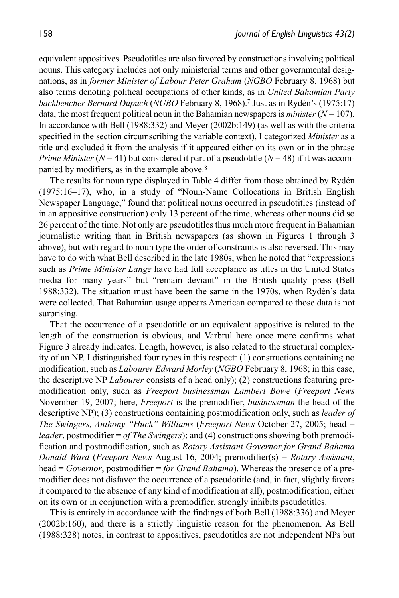equivalent appositives. Pseudotitles are also favored by constructions involving political nouns. This category includes not only ministerial terms and other governmental designations, as in *former Minister of Labour Peter Graham* (*NGBO* February 8, 1968) but also terms denoting political occupations of other kinds, as in *United Bahamian Party backbencher Bernard Dupuch* (*NGBO* February 8, 1968).7 Just as in Rydén's (1975:17) data, the most frequent political noun in the Bahamian newspapers is *minister*  $(N = 107)$ . In accordance with Bell (1988:332) and Meyer (2002b:149) (as well as with the criteria specified in the section circumscribing the variable context), I categorized *Minister* as a title and excluded it from the analysis if it appeared either on its own or in the phrase *Prime Minister* ( $N = 41$ ) but considered it part of a pseudotitle ( $N = 48$ ) if it was accompanied by modifiers, as in the example above.8

The results for noun type displayed in Table 4 differ from those obtained by Rydén (1975:16–17), who, in a study of "Noun-Name Collocations in British English Newspaper Language," found that political nouns occurred in pseudotitles (instead of in an appositive construction) only 13 percent of the time, whereas other nouns did so 26 percent of the time. Not only are pseudotitles thus much more frequent in Bahamian journalistic writing than in British newspapers (as shown in Figures 1 through 3 above), but with regard to noun type the order of constraints is also reversed. This may have to do with what Bell described in the late 1980s, when he noted that "expressions such as *Prime Minister Lange* have had full acceptance as titles in the United States media for many years" but "remain deviant" in the British quality press (Bell 1988:332). The situation must have been the same in the 1970s, when Rydén's data were collected. That Bahamian usage appears American compared to those data is not surprising.

That the occurrence of a pseudotitle or an equivalent appositive is related to the length of the construction is obvious, and Varbrul here once more confirms what Figure 3 already indicates. Length, however, is also related to the structural complexity of an NP. I distinguished four types in this respect: (1) constructions containing no modification, such as *Labourer Edward Morley* (*NGBO* February 8, 1968; in this case, the descriptive NP *Labourer* consists of a head only); (2) constructions featuring premodification only, such as *Freeport businessman Lambert Bowe* (*Freeport News* November 19, 2007; here, *Freeport* is the premodifier, *businessman* the head of the descriptive NP); (3) constructions containing postmodification only, such as *leader of The Swingers, Anthony "Huck" Williams* (*Freeport News* October 27, 2005; head = *leader*, postmodifier = *of The Swingers*); and (4) constructions showing both premodification and postmodification, such as *Rotary Assistant Governor for Grand Bahama Donald Ward* (*Freeport News* August 16, 2004; premodifier(s) = *Rotary Assistant*, head = *Governor*, postmodifier = *for Grand Bahama*). Whereas the presence of a premodifier does not disfavor the occurrence of a pseudotitle (and, in fact, slightly favors it compared to the absence of any kind of modification at all), postmodification, either on its own or in conjunction with a premodifier, strongly inhibits pseudotitles.

This is entirely in accordance with the findings of both Bell (1988:336) and Meyer (2002b:160), and there is a strictly linguistic reason for the phenomenon. As Bell (1988:328) notes, in contrast to appositives, pseudotitles are not independent NPs but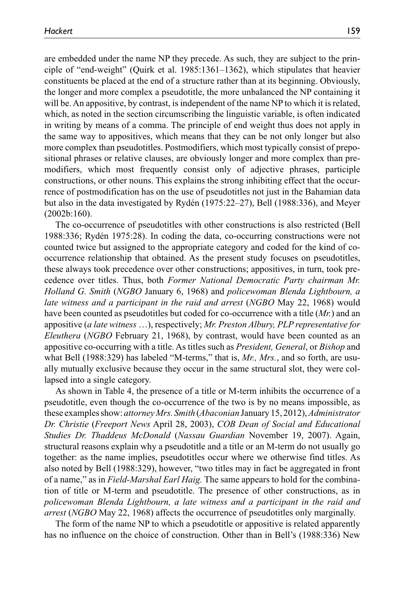are embedded under the name NP they precede. As such, they are subject to the principle of "end-weight" (Quirk et al. 1985:1361–1362), which stipulates that heavier constituents be placed at the end of a structure rather than at its beginning. Obviously, the longer and more complex a pseudotitle, the more unbalanced the NP containing it will be. An appositive, by contrast, is independent of the name NP to which it is related, which, as noted in the section circumscribing the linguistic variable, is often indicated in writing by means of a comma. The principle of end weight thus does not apply in the same way to appositives, which means that they can be not only longer but also more complex than pseudotitles. Postmodifiers, which most typically consist of prepositional phrases or relative clauses, are obviously longer and more complex than premodifiers, which most frequently consist only of adjective phrases, participle constructions, or other nouns. This explains the strong inhibiting effect that the occurrence of postmodification has on the use of pseudotitles not just in the Bahamian data but also in the data investigated by Rydén (1975:22–27), Bell (1988:336), and Meyer (2002b:160).

The co-occurrence of pseudotitles with other constructions is also restricted (Bell 1988:336; Rydén 1975:28). In coding the data, co-occurring constructions were not counted twice but assigned to the appropriate category and coded for the kind of cooccurrence relationship that obtained. As the present study focuses on pseudotitles, these always took precedence over other constructions; appositives, in turn, took precedence over titles. Thus, both *Former National Democratic Party chairman Mr. Holland G. Smith* (*NGBO* January 6, 1968) and *policewoman Blenda Lightbourn, a late witness and a participant in the raid and arrest* (*NGBO* May 22, 1968) would have been counted as pseudotitles but coded for co-occurrence with a title (*Mr.*) and an appositive (*a late witness* …), respectively; *Mr. Preston Albury, PLP representative for Eleuthera* (*NGBO* February 21, 1968), by contrast, would have been counted as an appositive co-occurring with a title. As titles such as *President, General*, or *Bishop* and what Bell (1988:329) has labeled "M-terms," that is, *Mr., Mrs.*, and so forth, are usually mutually exclusive because they occur in the same structural slot, they were collapsed into a single category.

As shown in Table 4, the presence of a title or M-term inhibits the occurrence of a pseudotitle, even though the co-occurrence of the two is by no means impossible, as these examples show: *attorney Mrs. Smith* (*Abaconian* January 15, 2012), *Administrator Dr. Christie* (*Freeport News* April 28, 2003), *COB Dean of Social and Educational Studies Dr. Thaddeus McDonald* (*Nassau Guardian* November 19, 2007). Again, structural reasons explain why a pseudotitle and a title or an M-term do not usually go together: as the name implies, pseudotitles occur where we otherwise find titles. As also noted by Bell (1988:329), however, "two titles may in fact be aggregated in front of a name," as in *Field-Marshal Earl Haig.* The same appears to hold for the combination of title or M-term and pseudotitle. The presence of other constructions, as in *policewoman Blenda Lightbourn, a late witness and a participant in the raid and arrest* (*NGBO* May 22, 1968) affects the occurrence of pseudotitles only marginally.

The form of the name NP to which a pseudotitle or appositive is related apparently has no influence on the choice of construction. Other than in Bell's (1988:336) New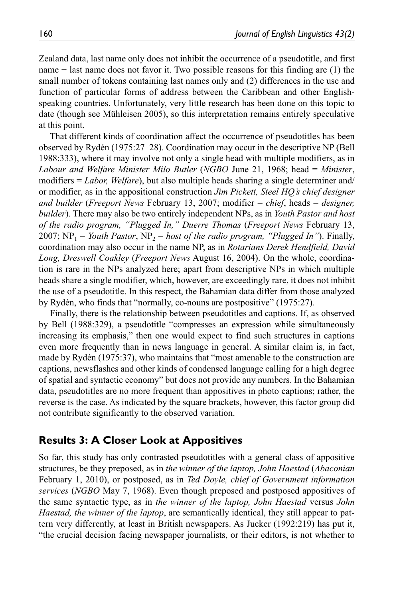Zealand data, last name only does not inhibit the occurrence of a pseudotitle, and first name + last name does not favor it. Two possible reasons for this finding are (1) the small number of tokens containing last names only and (2) differences in the use and function of particular forms of address between the Caribbean and other Englishspeaking countries. Unfortunately, very little research has been done on this topic to date (though see Mühleisen 2005), so this interpretation remains entirely speculative at this point.

That different kinds of coordination affect the occurrence of pseudotitles has been observed by Rydén (1975:27–28). Coordination may occur in the descriptive NP (Bell 1988:333), where it may involve not only a single head with multiple modifiers, as in *Labour and Welfare Minister Milo Butler* (*NGBO* June 21, 1968; head = *Minister*, modifiers = *Labor, Welfare*), but also multiple heads sharing a single determiner and/ or modifier, as in the appositional construction *Jim Pickett, Steel HQ's chief designer and builder* (*Freeport News* February 13, 2007; modifier = *chief*, heads = *designer, builder*). There may also be two entirely independent NPs, as in *Youth Pastor and host of the radio program, "Plugged In," Duerre Thomas* (*Freeport News* February 13, 2007;  $NP_1$  = *Youth Pastor*,  $NP_2$  = *host of the radio program, "Plugged In"*). Finally, coordination may also occur in the name NP, as in *Rotarians Derek Hendfield, David Long, Dreswell Coakley* (*Freeport News* August 16, 2004). On the whole, coordination is rare in the NPs analyzed here; apart from descriptive NPs in which multiple heads share a single modifier, which, however, are exceedingly rare, it does not inhibit the use of a pseudotitle. In this respect, the Bahamian data differ from those analyzed by Rydén, who finds that "normally, co-nouns are postpositive" (1975:27).

Finally, there is the relationship between pseudotitles and captions. If, as observed by Bell (1988:329), a pseudotitle "compresses an expression while simultaneously increasing its emphasis," then one would expect to find such structures in captions even more frequently than in news language in general. A similar claim is, in fact, made by Rydén (1975:37), who maintains that "most amenable to the construction are captions, newsflashes and other kinds of condensed language calling for a high degree of spatial and syntactic economy" but does not provide any numbers. In the Bahamian data, pseudotitles are no more frequent than appositives in photo captions; rather, the reverse is the case. As indicated by the square brackets, however, this factor group did not contribute significantly to the observed variation.

### **Results 3: A Closer Look at Appositives**

So far, this study has only contrasted pseudotitles with a general class of appositive structures, be they preposed, as in *the winner of the laptop, John Haestad* (*Abaconian* February 1, 2010), or postposed, as in *Ted Doyle, chief of Government information services* (*NGBO* May 7, 1968). Even though preposed and postposed appositives of the same syntactic type, as in *the winner of the laptop, John Haestad* versus *John Haestad, the winner of the laptop*, are semantically identical, they still appear to pattern very differently, at least in British newspapers. As Jucker (1992:219) has put it, "the crucial decision facing newspaper journalists, or their editors, is not whether to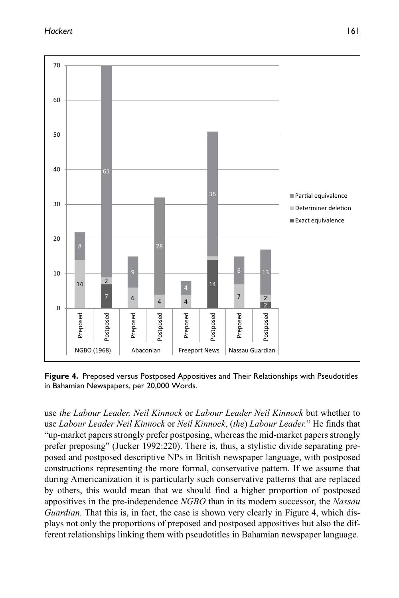

**Figure 4.** Preposed versus Postposed Appositives and Their Relationships with Pseudotitles in Bahamian Newspapers, per 20,000 Words.

use *the Labour Leader, Neil Kinnock* or *Labour Leader Neil Kinnock* but whether to use *Labour Leader Neil Kinnock* or *Neil Kinnock*, (*the*) *Labour Leader.*" He finds that "up-market papers strongly prefer postposing, whereas the mid-market papers strongly prefer preposing" (Jucker 1992:220). There is, thus, a stylistic divide separating preposed and postposed descriptive NPs in British newspaper language, with postposed constructions representing the more formal, conservative pattern. If we assume that during Americanization it is particularly such conservative patterns that are replaced by others, this would mean that we should find a higher proportion of postposed appositives in the pre-independence *NGBO* than in its modern successor, the *Nassau Guardian.* That this is, in fact, the case is shown very clearly in Figure 4, which displays not only the proportions of preposed and postposed appositives but also the different relationships linking them with pseudotitles in Bahamian newspaper language.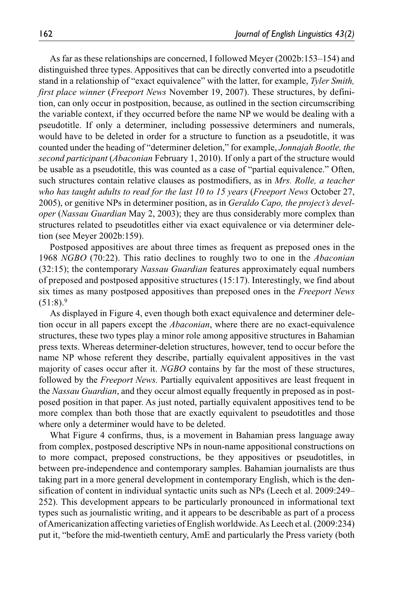As far as these relationships are concerned, I followed Meyer (2002b:153–154) and distinguished three types. Appositives that can be directly converted into a pseudotitle stand in a relationship of "exact equivalence" with the latter, for example, *Tyler Smith, first place winner* (*Freeport News* November 19, 2007). These structures, by definition, can only occur in postposition, because, as outlined in the section circumscribing the variable context, if they occurred before the name NP we would be dealing with a pseudotitle. If only a determiner, including possessive determiners and numerals, would have to be deleted in order for a structure to function as a pseudotitle, it was counted under the heading of "determiner deletion," for example, *Jonnajah Bootle, the second participant* (*Abaconian* February 1, 2010). If only a part of the structure would be usable as a pseudotitle, this was counted as a case of "partial equivalence." Often, such structures contain relative clauses as postmodifiers, as in *Mrs. Rolle, a teacher who has taught adults to read for the last 10 to 15 years* (*Freeport News* October 27, 2005), or genitive NPs in determiner position, as in *Geraldo Capo, the project's developer* (*Nassau Guardian* May 2, 2003); they are thus considerably more complex than structures related to pseudotitles either via exact equivalence or via determiner deletion (see Meyer 2002b:159).

Postposed appositives are about three times as frequent as preposed ones in the 1968 *NGBO* (70:22). This ratio declines to roughly two to one in the *Abaconian* (32:15); the contemporary *Nassau Guardian* features approximately equal numbers of preposed and postposed appositive structures (15:17). Interestingly, we find about six times as many postposed appositives than preposed ones in the *Freeport News*  $(51:8).9$ 

As displayed in Figure 4, even though both exact equivalence and determiner deletion occur in all papers except the *Abaconian*, where there are no exact-equivalence structures, these two types play a minor role among appositive structures in Bahamian press texts. Whereas determiner-deletion structures, however, tend to occur before the name NP whose referent they describe, partially equivalent appositives in the vast majority of cases occur after it. *NGBO* contains by far the most of these structures, followed by the *Freeport News.* Partially equivalent appositives are least frequent in the *Nassau Guardian*, and they occur almost equally frequently in preposed as in postposed position in that paper. As just noted, partially equivalent appositives tend to be more complex than both those that are exactly equivalent to pseudotitles and those where only a determiner would have to be deleted.

What Figure 4 confirms, thus, is a movement in Bahamian press language away from complex, postposed descriptive NPs in noun-name appositional constructions on to more compact, preposed constructions, be they appositives or pseudotitles, in between pre-independence and contemporary samples. Bahamian journalists are thus taking part in a more general development in contemporary English, which is the densification of content in individual syntactic units such as NPs (Leech et al. 2009:249– 252). This development appears to be particularly pronounced in informational text types such as journalistic writing, and it appears to be describable as part of a process of Americanization affecting varieties of English worldwide. As Leech et al. (2009:234) put it, "before the mid-twentieth century, AmE and particularly the Press variety (both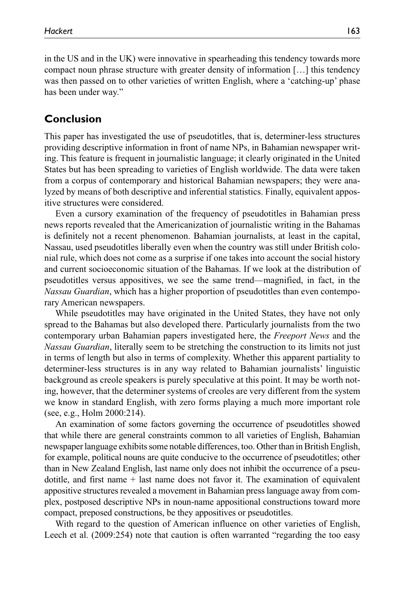in the US and in the UK) were innovative in spearheading this tendency towards more compact noun phrase structure with greater density of information […] this tendency was then passed on to other varieties of written English, where a 'catching-up' phase has been under way."

# **Conclusion**

This paper has investigated the use of pseudotitles, that is, determiner-less structures providing descriptive information in front of name NPs, in Bahamian newspaper writing. This feature is frequent in journalistic language; it clearly originated in the United States but has been spreading to varieties of English worldwide. The data were taken from a corpus of contemporary and historical Bahamian newspapers; they were analyzed by means of both descriptive and inferential statistics. Finally, equivalent appositive structures were considered.

Even a cursory examination of the frequency of pseudotitles in Bahamian press news reports revealed that the Americanization of journalistic writing in the Bahamas is definitely not a recent phenomenon. Bahamian journalists, at least in the capital, Nassau, used pseudotitles liberally even when the country was still under British colonial rule, which does not come as a surprise if one takes into account the social history and current socioeconomic situation of the Bahamas. If we look at the distribution of pseudotitles versus appositives, we see the same trend—magnified, in fact, in the *Nassau Guardian*, which has a higher proportion of pseudotitles than even contemporary American newspapers.

While pseudotitles may have originated in the United States, they have not only spread to the Bahamas but also developed there. Particularly journalists from the two contemporary urban Bahamian papers investigated here, the *Freeport News* and the *Nassau Guardian*, literally seem to be stretching the construction to its limits not just in terms of length but also in terms of complexity. Whether this apparent partiality to determiner-less structures is in any way related to Bahamian journalists' linguistic background as creole speakers is purely speculative at this point. It may be worth noting, however, that the determiner systems of creoles are very different from the system we know in standard English, with zero forms playing a much more important role (see, e.g., Holm 2000:214).

An examination of some factors governing the occurrence of pseudotitles showed that while there are general constraints common to all varieties of English, Bahamian newspaper language exhibits some notable differences, too. Other than in British English, for example, political nouns are quite conducive to the occurrence of pseudotitles; other than in New Zealand English, last name only does not inhibit the occurrence of a pseudotitle, and first name  $+$  last name does not favor it. The examination of equivalent appositive structures revealed a movement in Bahamian press language away from complex, postposed descriptive NPs in noun-name appositional constructions toward more compact, preposed constructions, be they appositives or pseudotitles.

With regard to the question of American influence on other varieties of English, Leech et al. (2009:254) note that caution is often warranted "regarding the too easy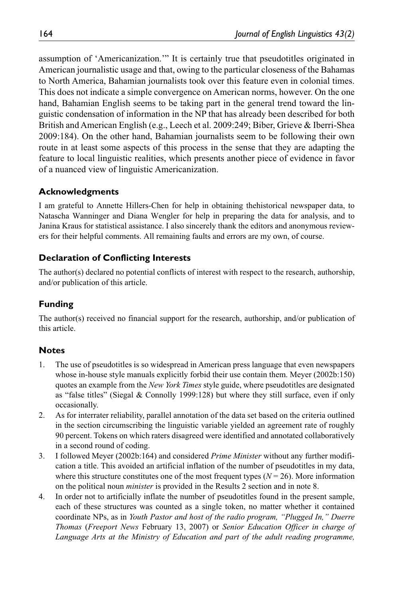assumption of 'Americanization.'" It is certainly true that pseudotitles originated in American journalistic usage and that, owing to the particular closeness of the Bahamas to North America, Bahamian journalists took over this feature even in colonial times. This does not indicate a simple convergence on American norms, however. On the one hand, Bahamian English seems to be taking part in the general trend toward the linguistic condensation of information in the NP that has already been described for both British and American English (e.g., Leech et al. 2009:249; Biber, Grieve & Iberri-Shea 2009:184). On the other hand, Bahamian journalists seem to be following their own route in at least some aspects of this process in the sense that they are adapting the feature to local linguistic realities, which presents another piece of evidence in favor of a nuanced view of linguistic Americanization.

#### **Acknowledgments**

I am grateful to Annette Hillers-Chen for help in obtaining thehistorical newspaper data, to Natascha Wanninger and Diana Wengler for help in preparing the data for analysis, and to Janina Kraus for statistical assistance. I also sincerely thank the editors and anonymous reviewers for their helpful comments. All remaining faults and errors are my own, of course.

### **Declaration of Conflicting Interests**

The author(s) declared no potential conflicts of interest with respect to the research, authorship, and/or publication of this article.

## **Funding**

The author(s) received no financial support for the research, authorship, and/or publication of this article.

### **Notes**

- 1. The use of pseudotitles is so widespread in American press language that even newspapers whose in-house style manuals explicitly forbid their use contain them. Meyer (2002b:150) quotes an example from the *New York Times* style guide, where pseudotitles are designated as "false titles" (Siegal & Connolly 1999:128) but where they still surface, even if only occasionally.
- 2. As for interrater reliability, parallel annotation of the data set based on the criteria outlined in the section circumscribing the linguistic variable yielded an agreement rate of roughly 90 percent. Tokens on which raters disagreed were identified and annotated collaboratively in a second round of coding.
- 3. I followed Meyer (2002b:164) and considered *Prime Minister* without any further modification a title. This avoided an artificial inflation of the number of pseudotitles in my data, where this structure constitutes one of the most frequent types  $(N = 26)$ . More information on the political noun *minister* is provided in the Results 2 section and in note 8.
- 4. In order not to artificially inflate the number of pseudotitles found in the present sample, each of these structures was counted as a single token, no matter whether it contained coordinate NPs, as in *Youth Pastor and host of the radio program, "Plugged In," Duerre Thomas* (*Freeport News* February 13, 2007) or *Senior Education Officer in charge of*  Language Arts at the Ministry of Education and part of the adult reading programme,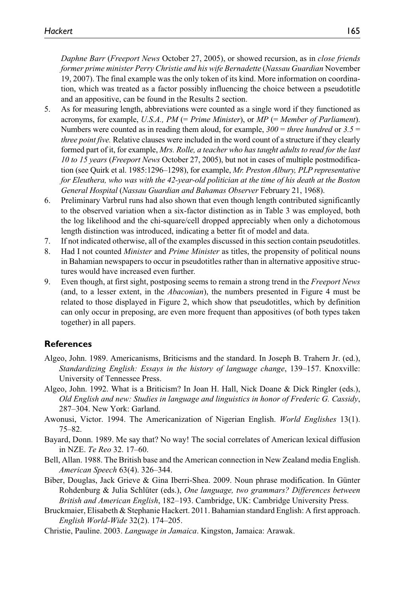*Daphne Barr* (*Freeport News* October 27, 2005), or showed recursion, as in *close friends former prime minister Perry Christie and his wife Bernadette* (*Nassau Guardian* November 19, 2007). The final example was the only token of its kind. More information on coordination, which was treated as a factor possibly influencing the choice between a pseudotitle and an appositive, can be found in the Results 2 section.

- 5. As for measuring length, abbreviations were counted as a single word if they functioned as acronyms, for example, *U.S.A., PM* (= *Prime Minister*), or *MP* (= *Member of Parliament*). Numbers were counted as in reading them aloud, for example,  $300 =$  *three hundred* or  $3.5 =$ *three point five.* Relative clauses were included in the word count of a structure if they clearly formed part of it, for example, *Mrs. Rolle, a teacher who has taught adults to read for the last 10 to 15 years* (*Freeport News* October 27, 2005), but not in cases of multiple postmodification (see Quirk et al. 1985:1296–1298), for example, *Mr. Preston Albury, PLP representative for Eleuthera, who was with the 42-year-old politician at the time of his death at the Boston General Hospital* (*Nassau Guardian and Bahamas Observer* February 21, 1968).
- 6. Preliminary Varbrul runs had also shown that even though length contributed significantly to the observed variation when a six-factor distinction as in Table 3 was employed, both the log likelihood and the chi-square/cell dropped appreciably when only a dichotomous length distinction was introduced, indicating a better fit of model and data.
- 7. If not indicated otherwise, all of the examples discussed in this section contain pseudotitles.
- 8. Had I not counted *Minister* and *Prime Minister* as titles, the propensity of political nouns in Bahamian newspapers to occur in pseudotitles rather than in alternative appositive structures would have increased even further.
- 9. Even though, at first sight, postposing seems to remain a strong trend in the *Freeport News* (and, to a lesser extent, in the *Abaconian*), the numbers presented in Figure 4 must be related to those displayed in Figure 2, which show that pseudotitles, which by definition can only occur in preposing, are even more frequent than appositives (of both types taken together) in all papers.

#### **References**

- Algeo, John. 1989. Americanisms, Briticisms and the standard. In Joseph B. Trahern Jr. (ed.), *Standardizing English: Essays in the history of language change*, 139–157. Knoxville: University of Tennessee Press.
- Algeo, John. 1992. What is a Briticism? In Joan H. Hall, Nick Doane & Dick Ringler (eds.), *Old English and new: Studies in language and linguistics in honor of Frederic G. Cassidy*, 287–304. New York: Garland.
- Awonusi, Victor. 1994. The Americanization of Nigerian English. *World Englishes* 13(1). 75–82.
- Bayard, Donn. 1989. Me say that? No way! The social correlates of American lexical diffusion in NZE. *Te Reo* 32. 17–60.
- Bell, Allan. 1988. The British base and the American connection in New Zealand media English. *American Speech* 63(4). 326–344.
- Biber, Douglas, Jack Grieve & Gina Iberri-Shea. 2009. Noun phrase modification. In Günter Rohdenburg & Julia Schlüter (eds.), *One language, two grammars? Differences between British and American English*, 182–193. Cambridge, UK: Cambridge University Press.
- Bruckmaier, Elisabeth & Stephanie Hackert. 2011. Bahamian standard English: A first approach. *English World-Wide* 32(2). 174–205.
- Christie, Pauline. 2003. *Language in Jamaica*. Kingston, Jamaica: Arawak.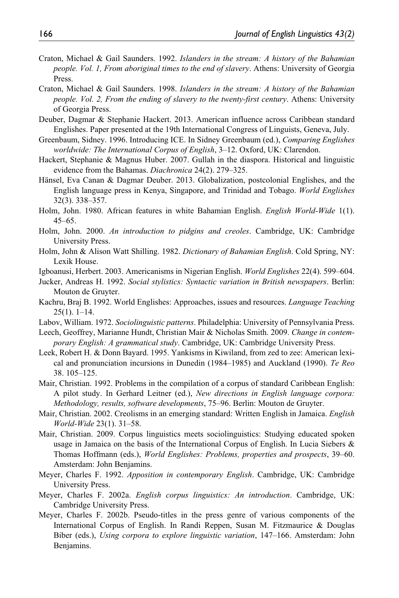- Craton, Michael & Gail Saunders. 1992. *Islanders in the stream: A history of the Bahamian people. Vol. 1, From aboriginal times to the end of slavery*. Athens: University of Georgia Press.
- Craton, Michael & Gail Saunders. 1998. *Islanders in the stream: A history of the Bahamian people. Vol. 2, From the ending of slavery to the twenty-first century*. Athens: University of Georgia Press.
- Deuber, Dagmar & Stephanie Hackert. 2013. American influence across Caribbean standard Englishes. Paper presented at the 19th International Congress of Linguists, Geneva, July.
- Greenbaum, Sidney. 1996. Introducing ICE. In Sidney Greenbaum (ed.), *Comparing Englishes worldwide: The International Corpus of English*, 3–12. Oxford, UK: Clarendon.
- Hackert, Stephanie & Magnus Huber. 2007. Gullah in the diaspora. Historical and linguistic evidence from the Bahamas. *Diachronica* 24(2). 279–325.
- Hänsel, Eva Canan & Dagmar Deuber. 2013. Globalization, postcolonial Englishes, and the English language press in Kenya, Singapore, and Trinidad and Tobago. *World Englishes* 32(3). 338–357.
- Holm, John. 1980. African features in white Bahamian English. *English World-Wide* 1(1). 45–65.
- Holm, John. 2000. *An introduction to pidgins and creoles*. Cambridge, UK: Cambridge University Press.
- Holm, John & Alison Watt Shilling. 1982. *Dictionary of Bahamian English*. Cold Spring, NY: Lexik House.
- Igboanusi, Herbert. 2003. Americanisms in Nigerian English. *World Englishes* 22(4). 599–604.
- Jucker, Andreas H. 1992. *Social stylistics: Syntactic variation in British newspapers*. Berlin: Mouton de Gruyter.
- Kachru, Braj B. 1992. World Englishes: Approaches, issues and resources. *Language Teaching* 25(1). 1–14.
- Labov, William. 1972. *Sociolinguistic patterns*. Philadelphia: University of Pennsylvania Press.
- Leech, Geoffrey, Marianne Hundt, Christian Mair & Nicholas Smith. 2009. *Change in contemporary English: A grammatical study*. Cambridge, UK: Cambridge University Press.
- Leek, Robert H. & Donn Bayard. 1995. Yankisms in Kiwiland, from zed to zee: American lexical and pronunciation incursions in Dunedin (1984–1985) and Auckland (1990). *Te Reo* 38. 105–125.
- Mair, Christian. 1992. Problems in the compilation of a corpus of standard Caribbean English: A pilot study. In Gerhard Leitner (ed.), *New directions in English language corpora: Methodology, results, software developments*, 75–96. Berlin: Mouton de Gruyter.
- Mair, Christian. 2002. Creolisms in an emerging standard: Written English in Jamaica. *English World-Wide* 23(1). 31–58.
- Mair, Christian. 2009. Corpus linguistics meets sociolinguistics: Studying educated spoken usage in Jamaica on the basis of the International Corpus of English. In Lucia Siebers & Thomas Hoffmann (eds.), *World Englishes: Problems, properties and prospects*, 39–60. Amsterdam: John Benjamins.
- Meyer, Charles F. 1992. *Apposition in contemporary English*. Cambridge, UK: Cambridge University Press.
- Meyer, Charles F. 2002a. *English corpus linguistics: An introduction*. Cambridge, UK: Cambridge University Press.
- Meyer, Charles F. 2002b. Pseudo-titles in the press genre of various components of the International Corpus of English. In Randi Reppen, Susan M. Fitzmaurice & Douglas Biber (eds.), *Using corpora to explore linguistic variation*, 147–166. Amsterdam: John Benjamins.